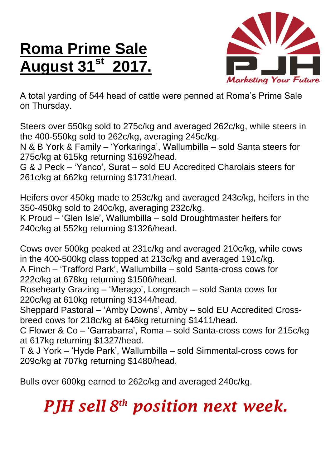## **Roma Prime Sale August 31st 2017.**



A total yarding of 544 head of cattle were penned at Roma's Prime Sale on Thursday.

Steers over 550kg sold to 275c/kg and averaged 262c/kg, while steers in the 400-550kg sold to 262c/kg, averaging 245c/kg.

N & B York & Family – 'Yorkaringa', Wallumbilla – sold Santa steers for 275c/kg at 615kg returning \$1692/head.

G & J Peck – 'Yanco', Surat – sold EU Accredited Charolais steers for 261c/kg at 662kg returning \$1731/head.

Heifers over 450kg made to 253c/kg and averaged 243c/kg, heifers in the 350-450kg sold to 240c/kg, averaging 232c/kg. K Proud – 'Glen Isle', Wallumbilla – sold Droughtmaster heifers for 240c/kg at 552kg returning \$1326/head.

Cows over 500kg peaked at 231c/kg and averaged 210c/kg, while cows in the 400-500kg class topped at 213c/kg and averaged 191c/kg. A Finch – 'Trafford Park', Wallumbilla – sold Santa-cross cows for 222c/kg at 678kg returning \$1506/head.

Rosehearty Grazing – 'Merago', Longreach – sold Santa cows for 220c/kg at 610kg returning \$1344/head.

Sheppard Pastoral – 'Amby Downs', Amby – sold EU Accredited Crossbreed cows for 218c/kg at 646kg returning \$1411/head.

C Flower & Co – 'Garrabarra', Roma – sold Santa-cross cows for 215c/kg at 617kg returning \$1327/head.

T & J York – 'Hyde Park', Wallumbilla – sold Simmental-cross cows for 209c/kg at 707kg returning \$1480/head.

Bulls over 600kg earned to 262c/kg and averaged 240c/kg.

## *PJH sell 8 th position next week.*